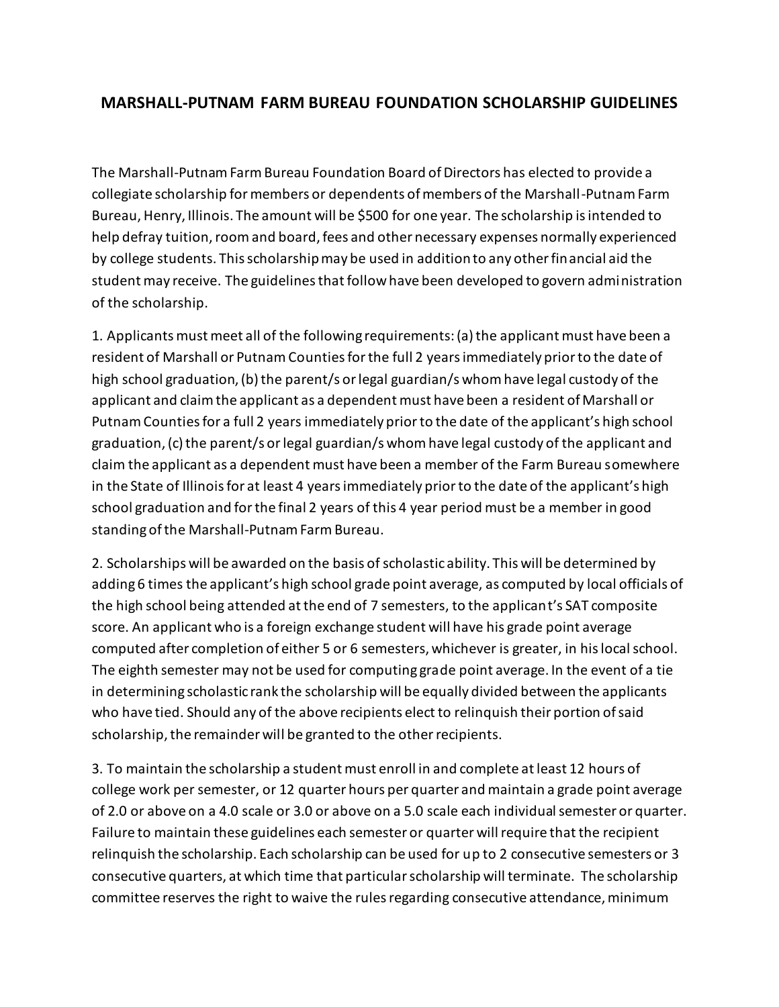## **MARSHALL-PUTNAM FARM BUREAU FOUNDATION SCHOLARSHIP GUIDELINES**

The Marshall-Putnam Farm Bureau Foundation Board of Directors has elected to provide a collegiate scholarship for members or dependents of members of the Marshall-Putnam Farm Bureau, Henry, Illinois. The amount will be \$500 for one year. The scholarship is intended to help defray tuition, room and board, fees and other necessary expenses normally experienced by college students. This scholarship may be used in addition to any other financial aid the student may receive. The guidelines that follow have been developed to govern administration of the scholarship.

1. Applicants must meet all of the following requirements: (a) the applicant must have been a resident of Marshall or Putnam Counties for the full 2 years immediately prior to the date of high school graduation, (b) the parent/s or legal guardian/s whom have legal custody of the applicant and claim the applicant as a dependent must have been a resident of Marshall or Putnam Counties for a full 2 years immediately prior to the date of the applicant's high school graduation, (c) the parent/s or legal guardian/s whom have legal custody of the applicant and claim the applicant as a dependent must have been a member of the Farm Bureau somewhere in the State of Illinois for at least 4 years immediately prior to the date of the applicant's high school graduation and for the final 2 years of this 4 year period must be a member in good standing of the Marshall-Putnam Farm Bureau.

2. Scholarships will be awarded on the basis of scholastic ability. This will be determined by adding 6 times the applicant's high school grade point average, as computed by local officials of the high school being attended at the end of 7 semesters, to the applicant's SAT composite score. An applicant who is a foreign exchange student will have his grade point average computed after completion of either 5 or 6 semesters, whichever is greater, in his local school. The eighth semester may not be used for computing grade point average. In the event of a tie in determining scholastic rank the scholarship will be equally divided between the applicants who have tied. Should any of the above recipients elect to relinquish their portion of said scholarship, the remainder will be granted to the other recipients.

3. To maintain the scholarship a student must enroll in and complete at least 12 hours of college work per semester, or 12 quarter hours per quarter and maintain a grade point average of 2.0 or above on a 4.0 scale or 3.0 or above on a 5.0 scale each individual semester or quarter. Failure to maintain these guidelines each semester or quarter will require that the recipient relinquish the scholarship. Each scholarship can be used for up to 2 consecutive semesters or 3 consecutive quarters, at which time that particular scholarship will terminate. The scholarship committee reserves the right to waive the rules regarding consecutive attendance, minimum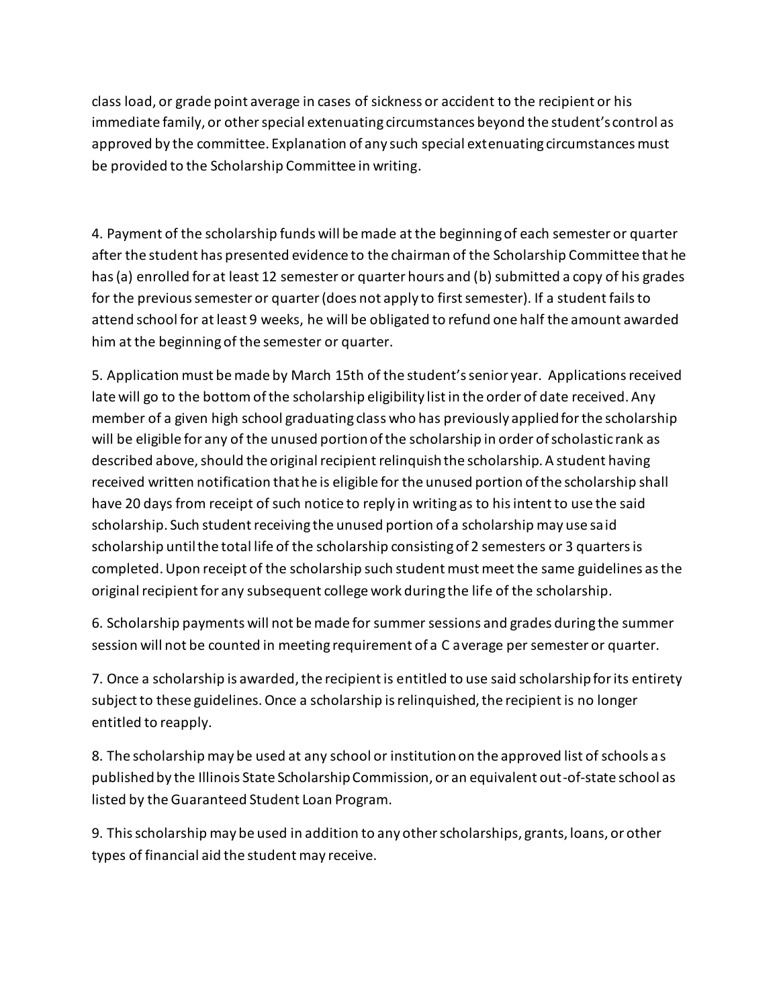class load, or grade point average in cases of sickness or accident to the recipient or his immediate family, or other special extenuating circumstances beyond the student's control as approved by the committee. Explanation of any such special extenuating circumstances must be provided to the Scholarship Committee in writing.

4. Payment of the scholarship funds will be made at the beginning of each semester or quarter after the student has presented evidence to the chairman of the Scholarship Committee that he has (a) enrolled for at least 12 semester or quarter hours and (b) submitted a copy of his grades for the previous semester or quarter (does not apply to first semester). If a student fails to attend school for at least 9 weeks, he will be obligated to refund one half the amount awarded him at the beginning of the semester or quarter.

5. Application must be made by March 15th of the student's senior year. Applications received late will go to the bottom of the scholarship eligibility list in the order of date received. Any member of a given high school graduating class who has previously applied for the scholarship will be eligible for any of the unused portion of the scholarship in order of scholastic rank as described above, should the original recipient relinquish the scholarship. A student having received written notification that he is eligible for the unused portion of the scholarship shall have 20 days from receipt of such notice to reply in writing as to his intent to use the said scholarship. Such student receiving the unused portion of a scholarship may use said scholarship until the total life of the scholarship consisting of 2 semesters or 3 quarters is completed. Upon receipt of the scholarship such student must meet the same guidelines as the original recipient for any subsequent college work during the life of the scholarship.

6. Scholarship payments will not be made for summer sessions and grades during the summer session will not be counted in meeting requirement of a C average per semester or quarter.

7. Once a scholarship is awarded, the recipient is entitled to use said scholarship for its entirety subject to these guidelines. Once a scholarship is relinquished, the recipient is no longer entitled to reapply.

8. The scholarship may be used at any school or institution on the approved list of schools as published by the Illinois State Scholarship Commission, or an equivalent out-of-state school as listed by the Guaranteed Student Loan Program.

9. This scholarship may be used in addition to any other scholarships, grants, loans, or other types of financial aid the student may receive.